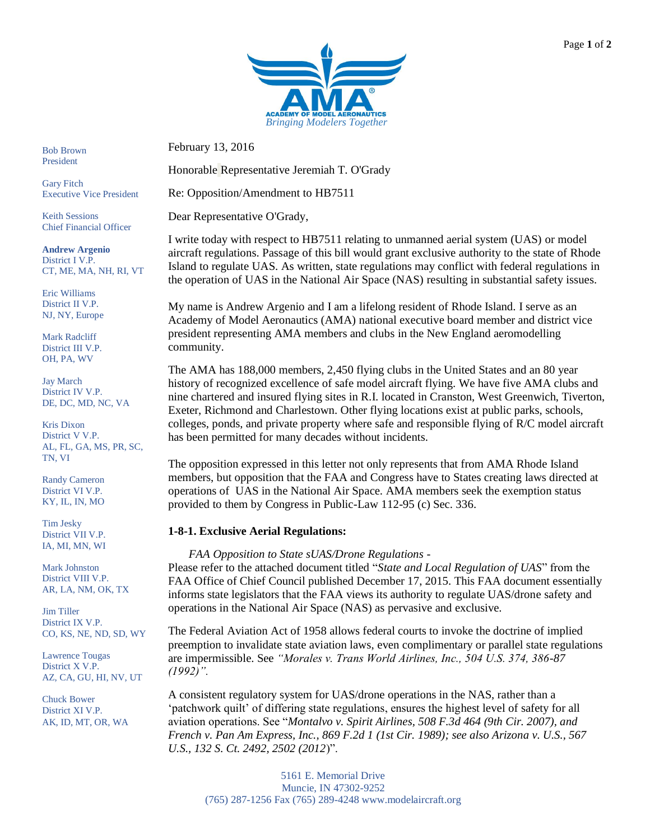

February 13, 2016

Honorable Representative Jeremiah T. O'Grady

Re: Opposition/Amendment to HB7511

Dear Representative O'Grady,

I write today with respect to HB7511 relating to unmanned aerial system (UAS) or model aircraft regulations. Passage of this bill would grant exclusive authority to the state of Rhode Island to regulate UAS. As written, state regulations may conflict with federal regulations in the operation of UAS in the National Air Space (NAS) resulting in substantial safety issues.

My name is Andrew Argenio and I am a lifelong resident of Rhode Island. I serve as an Academy of Model Aeronautics (AMA) national executive board member and district vice president representing AMA members and clubs in the New England aeromodelling community.

The AMA has 188,000 members, 2,450 flying clubs in the United States and an 80 year history of recognized excellence of safe model aircraft flying. We have five AMA clubs and nine chartered and insured flying sites in R.I. located in Cranston, West Greenwich, Tiverton, Exeter, Richmond and Charlestown. Other flying locations exist at public parks, schools, colleges, ponds, and private property where safe and responsible flying of R/C model aircraft has been permitted for many decades without incidents.

The opposition expressed in this letter not only represents that from AMA Rhode Island members, but opposition that the FAA and Congress have to States creating laws directed at operations of UAS in the National Air Space. AMA members seek the exemption status provided to them by Congress in Public-Law 112-95 (c) Sec. 336.

# **1-8-1. Exclusive Aerial Regulations:**

*FAA Opposition to State sUAS/Drone Regulations -*

Please refer to the attached document titled "*State and Local Regulation of UAS*" from the FAA Office of Chief Council published December 17, 2015. This FAA document essentially informs state legislators that the FAA views its authority to regulate UAS/drone safety and operations in the National Air Space (NAS) as pervasive and exclusive.

The Federal Aviation Act of 1958 allows federal courts to invoke the doctrine of implied preemption to invalidate state aviation laws, even complimentary or parallel state regulations are impermissible. See *"Morales v. Trans World Airlines, Inc., 504 U.S. 374, 386-87 (1992)".* 

A consistent regulatory system for UAS/drone operations in the NAS, rather than a 'patchwork quilt' of differing state regulations, ensures the highest level of safety for all aviation operations. See "*Montalvo v. Spirit Airlines, 508 F.3d 464 (9th Cir. 2007), and French v. Pan Am Express, Inc., 869 F.2d 1 (1st Cir. 1989); see also Arizona v. U.S., 567 U.S., 132 S. Ct. 2492, 2502 (2012*)".

Bob Brown President

Gary Fitch Executive Vice President

Keith Sessions Chief Financial Officer

**Andrew Argenio** District I V.P. CT, ME, MA, NH, RI, VT

Eric Williams District II V.P. NJ, NY, Europe

Mark Radcliff District III V.P. OH, PA, WV

Jay March District IV V.P. DE, DC, MD, NC, VA

Kris Dixon District V V.P. AL, FL, GA, MS, PR, SC, TN, VI

Randy Cameron District VI V.P. KY, IL, IN, MO

Tim Jesky District VII V.P. IA, MI, MN, WI

Mark Johnston District VIII V.P. AR, LA, NM, OK, TX

Jim Tiller District IX V.P. CO, KS, NE, ND, SD, WY

Lawrence Tougas District X V.P. AZ, CA, GU, HI, NV, UT

AK, ID, MT, OR, WA Chuck Bower District XI V.P.